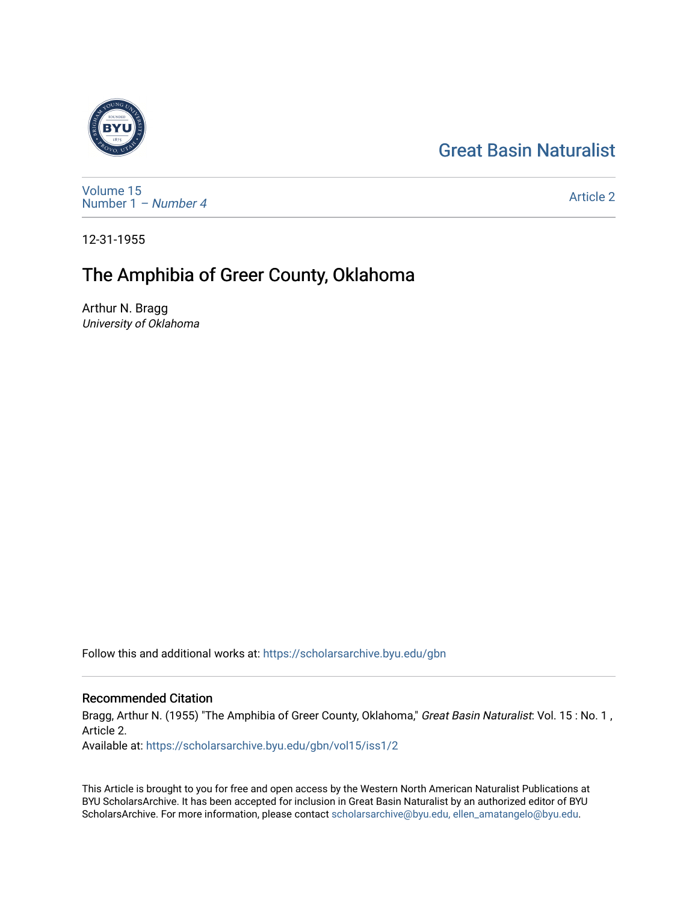# [Great Basin Naturalist](https://scholarsarchive.byu.edu/gbn)



[Volume 15](https://scholarsarchive.byu.edu/gbn/vol15) [Number 1](https://scholarsarchive.byu.edu/gbn/vol15/iss1) – Number 4

[Article 2](https://scholarsarchive.byu.edu/gbn/vol15/iss1/2) 

12-31-1955

# The Amphibia of Greer County, Oklahoma

Arthur N. Bragg University of Oklahoma

Follow this and additional works at: [https://scholarsarchive.byu.edu/gbn](https://scholarsarchive.byu.edu/gbn?utm_source=scholarsarchive.byu.edu%2Fgbn%2Fvol15%2Fiss1%2F2&utm_medium=PDF&utm_campaign=PDFCoverPages) 

# Recommended Citation

Bragg, Arthur N. (1955) "The Amphibia of Greer County, Oklahoma," Great Basin Naturalist: Vol. 15 : No. 1, Article 2.

Available at: [https://scholarsarchive.byu.edu/gbn/vol15/iss1/2](https://scholarsarchive.byu.edu/gbn/vol15/iss1/2?utm_source=scholarsarchive.byu.edu%2Fgbn%2Fvol15%2Fiss1%2F2&utm_medium=PDF&utm_campaign=PDFCoverPages)

This Article is brought to you for free and open access by the Western North American Naturalist Publications at BYU ScholarsArchive. It has been accepted for inclusion in Great Basin Naturalist by an authorized editor of BYU ScholarsArchive. For more information, please contact [scholarsarchive@byu.edu, ellen\\_amatangelo@byu.edu.](mailto:scholarsarchive@byu.edu,%20ellen_amatangelo@byu.edu)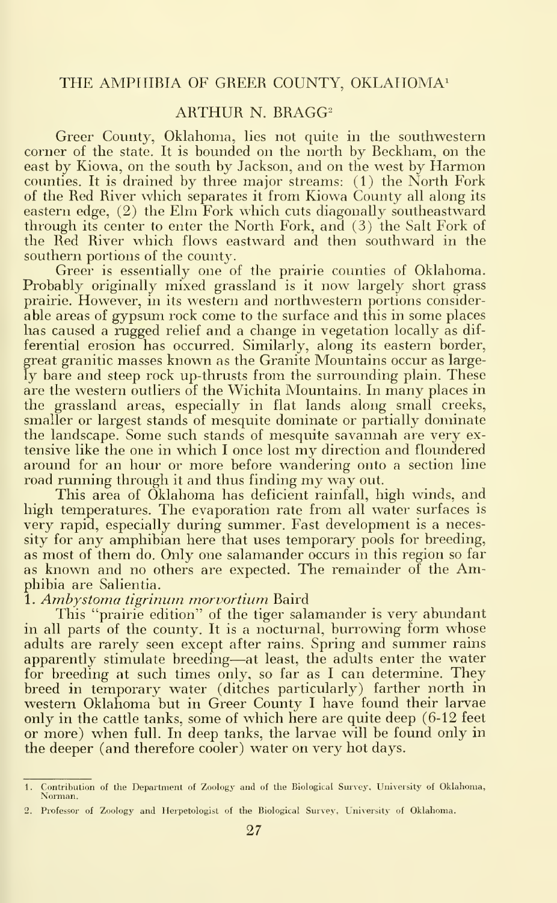### ARTHUR N. BRAGG^

Greer County, Oklahoma, lies not quite in the southwestern corner of the state. It is bounded on the north by Beckham, on the east by Kiowa, on the south by Jackson, and on the west by Harmon counties. It is drained by three major streams: (1) the North Fork of the Red River which separates it from Kiowa County all along its eastern edge, (2) the Elm Fork which cuts diagonally southeastward through its center to enter the North Fork, and (3) the Salt Fork of the Red River which flows eastward and then southward in the southern portions of the county.

Greer is essentially one of the prairie counties of Oklahoma. Probably originally mixed grassland is it now largely short grass prairie. However, in its western and northwestern portions considerable areas of gypsum rock come to the surface and this in some places has caused a rugged relief and a change in vegetation locally as differential erosion has occurred. Similarly, along its eastern border, great granitic masses known as the Granite Mountains occur as largely bare and steep rock up-thrusts from the surrounding plain. These are the western outliers of the Wichita Mountains. In many places in the grassland areas, especially in flat lands along small creeks, smaller or largest stands of mesquite dominate or partially dominate the landscape. Some such stands of mesquite savannah are very ex tensive like the one in which <sup>I</sup> once lost my direction and floundered around for an hour or more before wandering onto a section line road running through it and thus finding my way out.

This area of Oklahoma has deficient rainfall, high winds, and high temperatures. The evaporation rate from all water surfaces is very rapid, especially during summer. Fast development is a necessity for any amphibian here that uses temporary pools for breeding, as most of them do. Only one salamander occurs in this region so far as known and no others are expected. The remainder of the Amphibia are Salientia.

1. Ambystoma tigrinum morvortium Baird

This "prairie edition" of the tiger salamander is very abundant in all parts of the county. It is a nocturnal, burrowing form whose adults are rarely seen except after rains. Spring and summer rains apparently stimulate breeding—at least, the adults enter the water for breeding at such times only, so far as <sup>I</sup> can determine. They breed in temporary water (ditches particularly) farther north in western Oklahoma but in Greer County I have found their larvae only in the cattle tanks, some of which here are quite deep (6-12 feet or more) when full. In deep tanks, the larvae will be found only in the deeper (and therefore cooler) water on very hot days.

<sup>1</sup> Contribution of the Department of Zoology and of the Biological Survey, University of Oklahoma, Norman.

<sup>2.</sup> Professor of Zoology and Herpetologist of the Biological Survey, University- of Oklahoma.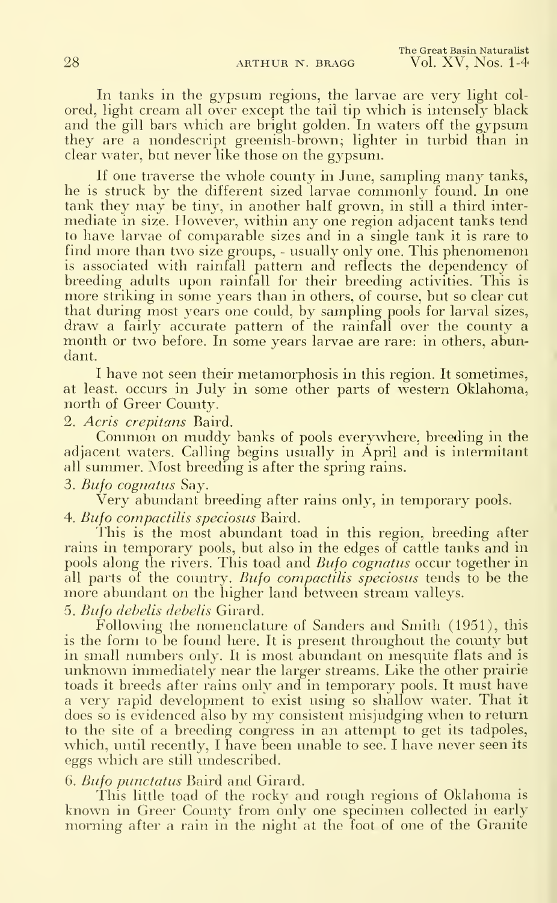In tanks in the gypsum regions, the larvae are very light col ored, light cream all over except the tail tip which is intensely black and the gill bars which are bright golden. In waters off the gypsum they are a nondescript greenish-brown; lighter in turbid than in clear water, but never like those on the gypsum.

If one traverse the whole county in June, sampling many tanks, he is struck by the different sized larvae commonly found. In one tank they may be tiny, in another half grown, in still <sup>a</sup> third intermediate in size. However, within any one region adjacent tanks tend to have larvae of comparable sizes and in a single tank it is rare to find more than two size groups, - usually only one. This phenomenon is associated with rainfall pattern and reflects the dependency of breeding adults upon rainfall for their breeding activities. This is more striking in some years than in others, of course, but so clear cut that during most years one could, by sampling pools for larval sizes, draw a fairly accurate pattern of the rainfall over the county a month or two before. In some years larvae are rare: in others, abundant.

<sup>I</sup> have not seen their metamorphosis in this region. It sometimes, at least, occurs in July in some other parts of western Oklahoma, north of Greer County.

2. Acris crepitans Baird.

Common on muddy banks of pools everywhere, breeding in the adjacent waters. Calling begins usually in April and is intermitant all summer. Most breeding is after the spring rains.

3. Bufo cognatus Say.

Very abundant breeding after rains only, in temporary pools. 4. Bufo compactilis speciosus Baird.

This is the most abundant toad in this region, breeding after rains in temporary pools, but also in the edges of cattle tanks and in pools along the rivers. This toad and Bufo cognatus occur together in all parts of the country. Bufo compactilis speciosus tends to be the more abundant on the higher land between stream valleys.

5. Bufo debelis debelis Girard.

Following the nomenclature of Sanders and Smith (1951), this is the form to be found here. It is present throughout the county but in small numbers only. It is most abundant on mesquite flats and is unknown immediately near the larger streams. Like the other prairie toads it breeds after rains only and in temporary pools. It must have a very rapid development to exist using so shallow water. That it does so is evidenced also by my consistent misjudging when to return to the site of a breeding congress in an attempt to get its tadpoles, which, until recently, <sup>I</sup> have been unable to see. I have never seen its eggs which are still undescribed.

6. Bufo punctatus Baird and Girard.

This little toad of the rocky and rough regions of Oklahoma isknown in Greer County from only one specimen collected in early morning after a rain in the night at the foot of one of the Granite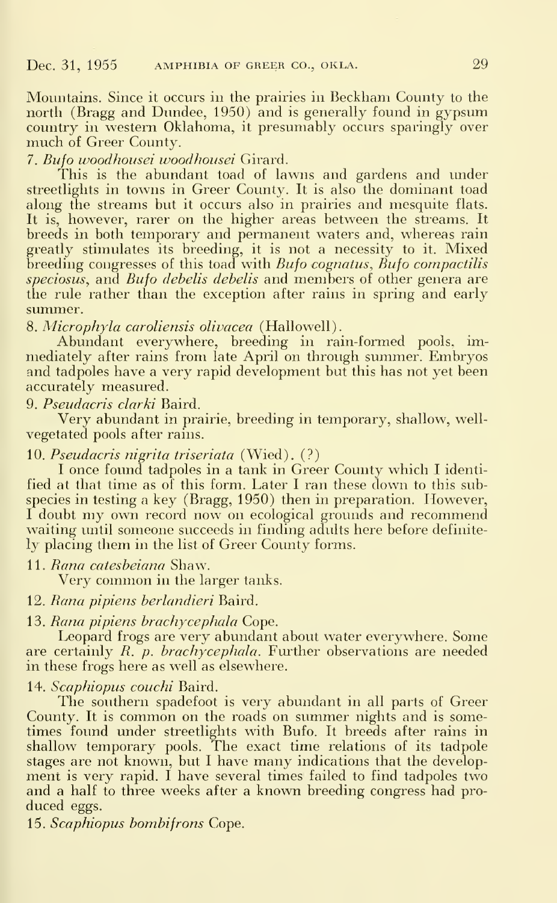Mountains. Since it occurs in the prairies in Beckham County to the north (Bragg and Dundee, 1950) and is generally found in gypsum country in western Oklahoma, it presumably occurs sparingly over much of Greer County.

7. Bufo woodhousei woodhousei Girard.

This is the abundant toad of lawns and gardens and under streetlights in towns in Greer County. It is also the dominant toad along the streams but it occurs also in prairies and mesquite flats. It is, however, rarer on the higher areas between the streams. It breeds in both temporary and permanent waters and, whereas rain greatly stimulates its breeding, it is not a necessity to it. Mixed breeding congresses of this toad with *Bufo cognatus*,  $\ddot{B}$ ufo compactilis speciosus, and Bufo debelis debelis and members of other genera are the rule rather than the exception after rains in spring and early summer.

8. Microphyla caroliensis olivacea (Hallowell).

Abundant everywhere, breeding in rain-formed pools, immediately after rains from late April on through summer. Embryos and tadpoles have a very rapid development but this has not yet been accurately measured.

9. Pseudacris clarki Baird.

Very abundant in prairie, breeding in temporary, shallow, wellvegetated pools after rains.

### 10. Pseudacris nigrita triseriata (Wied). (?)

<sup>I</sup> once found tadpoles in a tank in Greer County which I identified at that time as of this form. Later <sup>I</sup> ran these down to this subspecies in testing a key (Bragg, 1950) then in preparation. However, I doubt my own record now on ecological grounds and recommend waiting until someone succeeds in finding adults here before definitely placing them in the list of Greer County forms.

11. *Rana catesbeiana S*haw.

Very common in the larger tanks.

12. Rana pipiens berlandieri Baird.

#### 13. Rana pipiens brachycephala Cope.

Leopard frogs are very abundant about water everywhere. Some are certainly  $R$ .  $p.$  brachycephala. Further observations are needed in these frogs here as well as elsewhere.

14. Scaphiopus couchi Baird.

The southern spadefoot is very abundant in all parts of Greer County. It is common on the roads on summer nights and is sometimes found under streetlights with Bufo. It breeds after rains in shallow temporary pools. The exact time relations of its tadpole stages are not known, but <sup>I</sup> have many indications that the development is very rapid. I have several times failed to find tadpoles two and a half to three weeks after a known breeding congress had pro duced eggs.

15. Scaphiopus bombifrons Cope.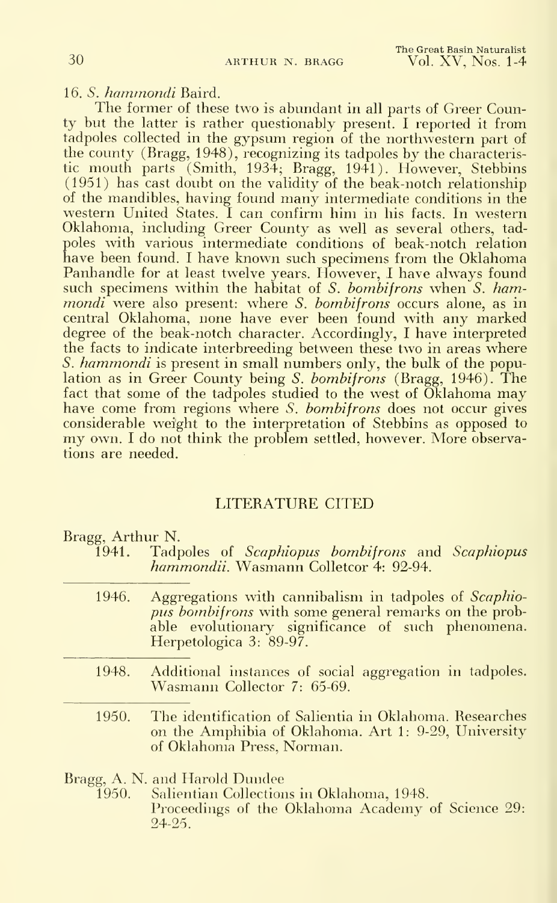16. S. hammondi Baird.

The former of these two is abundant in all parts of Greer County but the latter is rather questionably present. <sup>I</sup> reported it from tadpoles collected in the gypsum region of the northwestern part of the county (Bragg, 1948), recognizing its tadpoles by the characteristic mouth parts (Smith, 1934; Bragg, 1941). However, Stebbins (1951) has cast doubt on the validity of the beak-notch relationship of the mandibles, having found many intermediate conditions in the western United States. <sup>I</sup> can confirm him in his facts. In western Oklahoma, including Greer County as well as several others, tad poles with various intermediate conditions of beak-notch relation have been found. <sup>I</sup> have known such specimens from the Oklahoma Panhandle for at least twelve years. However, I have always found such specimens within the habitat of S. bombifrons when  $S$ . hammondi were also present: where S. bombifrons occurs alone, as in central Oklahoma, none have ever been found with any marked degree of the beak-notch character. Accordingly, <sup>I</sup> have interpreted the facts to indicate interbreeding between these two in areas where S. hammondi is present in small numbers only, the bulk of the population as in Greer County being S. bombifrons (Bragg, 1946). The fact that some of the tadpoles studied to the west of Oklahoma may have come from regions where S. bombifrons does not occur gives considerable weight to the interpretation of Stebbins as opposed to my own. <sup>I</sup>do not think the problem settled, however. More observations are needed.

### LITERATURE CITED

Bragg, Arthur N.

- 1941. Tadpoles of Scaphiopus bombifrons and Scaphiopus hammondii. Wasmann Colletcor 4: 92-94.
- 1946. Aggregations with cannibalism in tadpoles of *Scaphio*pus bombifrons with some general remarks on the probable evolutionary significance of such phenomena. Herpetologica 3: 89-97.
- 1948. Additional instances of social aggregation in tadpoles. Wasmann Collector 7: 65-69.
- 1950. The identification of Salientia in Oklahoma. Besearches on the Amphibia of Oklahoma. Art 1: 9-29, University of Oklahoma Press, Norman.

Bragg, A. N. and Harold Dundee<br>1950. Salientian Collection

Salientian Collections in Oklahoma, 1948. Proceedings of the Oklahoma Academy of Science 29: 24-25.